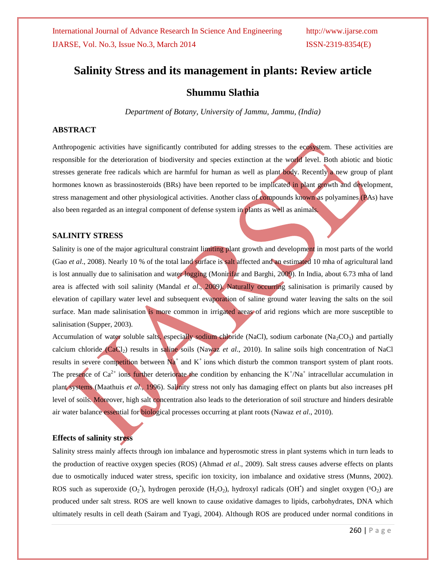# **Salinity Stress and its management in plants: Review article**

## **Shummu Slathia**

*Department of Botany, University of Jammu, Jammu, (India)*

### **ABSTRACT**

Anthropogenic activities have significantly contributed for adding stresses to the ecosystem. These activities are responsible for the deterioration of biodiversity and species extinction at the world level. Both abiotic and biotic stresses generate free radicals which are harmful for human as well as plant body. Recently a new group of plant hormones known as brassinosteroids (BRs) have been reported to be implicated in plant growth and development, stress management and other physiological activities. Another class of compounds known as polyamines (PAs) have also been regarded as an integral component of defense system in plants as well as animals.

### **SALINITY STRESS**

Salinity is one of the major agricultural constraint limiting plant growth and development in most parts of the world (Gao *et al*., 2008). Nearly 10 % of the total land surface is salt affected and an estimated 10 mha of agricultural land is lost annually due to salinisation and water logging (Monirifar and Barghi, 2009). In India, about 6.73 mha of land area is affected with soil salinity (Mandal *et al*., 2009). Naturally occurring salinisation is primarily caused by elevation of capillary water level and subsequent evaporation of saline ground water leaving the salts on the soil surface. Man made salinisation is more common in irrigated areas of arid regions which are more susceptible to salinisation (Supper, 2003).

Accumulation of water soluble salts, especially sodium chloride (NaCl), sodium carbonate (Na<sub>2</sub>CO<sub>3</sub>) and partially calcium chloride (CaCl2) results in saline soils (Nawaz *et al*., 2010). In saline soils high concentration of NaCl results in severe competition between  $\text{Na}^+$  and K<sup>+</sup> ions which disturb the common transport system of plant roots. The presence of  $Ca^{2+}$  ions further deteriorate the condition by enhancing the  $K^{+}/Na^{+}$  intracellular accumulation in plant systems (Maathuis *et al*., 1996). Salinity stress not only has damaging effect on plants but also increases pH level of soils. Moreover, high salt concentration also leads to the deterioration of soil structure and hinders desirable air water balance essential for biological processes occurring at plant roots (Nawaz *et al*., 2010).

### **Effects of salinity stress**

Salinity stress mainly affects through ion imbalance and hyperosmotic stress in plant systems which in turn leads to the production of reactive oxygen species (ROS) (Ahmad *et al*., 2009). Salt stress causes adverse effects on plants due to osmotically induced water stress, specific ion toxicity, ion imbalance and oxidative stress (Munns, 2002). ROS such as superoxide  $(O_2)$ , hydrogen peroxide  $(H_2O_2)$ , hydroxyl radicals  $(OH')$  and singlet oxygen  $(O_2)$  are produced under salt stress. ROS are well known to cause oxidative damages to lipids, carbohydrates, DNA which ultimately results in cell death (Sairam and Tyagi, 2004). Although ROS are produced under normal conditions in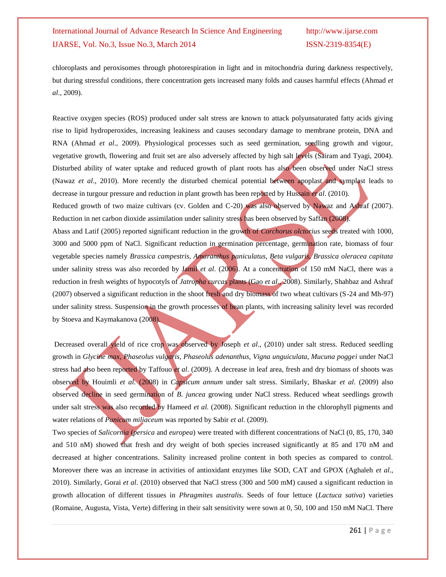chloroplasts and peroxisomes through photorespiration in light and in mitochondria during darkness respectively, but during stressful conditions, there concentration gets increased many folds and causes harmful effects (Ahmad *et al*., 2009).

Reactive oxygen species (ROS) produced under salt stress are known to attack polyunsaturated fatty acids giving rise to lipid hydroperoxides, increasing leakiness and causes secondary damage to membrane protein, DNA and RNA (Ahmad *et al*., 2009). Physiological processes such as seed germination, seedling growth and vigour, vegetative growth, flowering and fruit set are also adversely affected by high salt levels (Sairam and Tyagi, 2004). Disturbed ability of water uptake and reduced growth of plant roots has also been observed under NaCl stress (Nawaz *et al*., 2010). More recently the disturbed chemical potential between apoplast and symplast leads to decrease in turgour pressure and reduction in plant growth has been reported by Hussain *et al*. (2010).

Reduced growth of two maize cultivars (cv. Golden and C-20) was also observed by Nawaz and Ashraf (2007). Reduction in net carbon dioxide assimilation under salinity stress has been observed by Saffan (2008).

Abass and Latif (2005) reported significant reduction in the growth of *Corchorus olctorius* seeds treated with 1000, 3000 and 5000 ppm of NaCl. Significant reduction in germination percentage, germination rate, biomass of four vegetable species namely *Brassica campestris, Amaranthus paniculatus, Beta vulgaris, Brassica oleracea capitata* under salinity stress was also recorded by Jamil *et al*. (2006). At a concentration of 150 mM NaCl, there was a reduction in fresh weights of hypocotyls of *Jatropha curcas* plants (Gao *et al*., 2008). Similarly, Shahbaz and Ashraf (2007) observed a significant reduction in the shoot fresh and dry biomass of two wheat cultivars (S-24 and Mh-97) under salinity stress. Suspension in the growth processes of bean plants, with increasing salinity level was recorded by Stoeva and Kaymakanova (2008).

Decreased overall yield of rice crop was observed by Joseph *et al*., (2010) under salt stress. Reduced seedling growth in *Glycine max, Phaseolus vulgaris, Phaseolus adenanthus, Vigna unguiculata, Mucuna poggei* under NaCl stress had also been reported by Taffouo *et al*. (2009). A decrease in leaf area, fresh and dry biomass of shoots was observed by Houimli *et al.* (2008) in *Capsicum annum* under salt stress. Similarly, Bhaskar *et al*. (2009) also observed decline in seed germination of *B. juncea* growing under NaCl stress. Reduced wheat seedlings growth under salt stress was also recorded by Hameed *et al.* (2008). Significant reduction in the chlorophyll pigments and water relations of *Panicum miliaceum* was reported by Sabir *et al*. (2009).

Two species of *Salicornia* (*persica* and *europea*) were treated with different concentrations of NaCl (0, 85, 170, 340 and 510 nM) showed that fresh and dry weight of both species increased significantly at 85 and 170 nM and decreased at higher concentrations. Salinity increased proline content in both species as compared to control. Moreover there was an increase in activities of antioxidant enzymes like SOD, CAT and GPOX (Aghaleh *et al*., 2010). Similarly, Gorai *et al*. (2010) observed that NaCl stress (300 and 500 mM) caused a significant reduction in growth allocation of different tissues in *Phragmites australis*. Seeds of four lettuce (*Lactuca sativa*) varieties (Romaine, Augusta, Vista, Verte) differing in their salt sensitivity were sown at 0, 50, 100 and 150 mM NaCl. There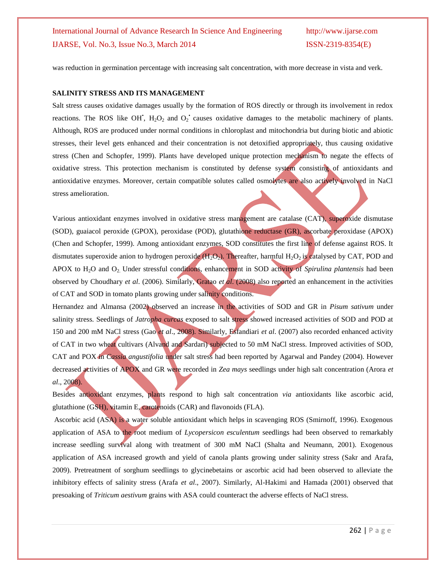was reduction in germination percentage with increasing salt concentration, with more decrease in vista and verk.

#### **SALINITY STRESS AND ITS MANAGEMENT**

Salt stress causes oxidative damages usually by the formation of ROS directly or through its involvement in redox reactions. The ROS like OH',  $H_2O_2$  and  $O_2$ ' causes oxidative damages to the metabolic machinery of plants. Although, ROS are produced under normal conditions in chloroplast and mitochondria but during biotic and abiotic stresses, their level gets enhanced and their concentration is not detoxified appropriately, thus causing oxidative stress (Chen and Schopfer, 1999). Plants have developed unique protection mechanism to negate the effects of oxidative stress. This protection mechanism is constituted by defense system consisting of antioxidants and antioxidative enzymes. Moreover, certain compatible solutes called osmolytes are also actively involved in NaCl stress amelioration.

Various antioxidant enzymes involved in oxidative stress management are catalase (CAT), superoxide dismutase (SOD), guaiacol peroxide (GPOX), peroxidase (POD), glutathione reductase (GR), ascorbate peroxidase (APOX) (Chen and Schopfer, 1999). Among antioxidant enzymes, SOD constitutes the first line of defense against ROS. It dismutates superoxide anion to hydrogen peroxide  $(H_2O_2)$ . Thereafter, harmful  $H_2O_2$  is catalysed by CAT, POD and APOX to H2O and O2. Under stressful conditions, enhancement in SOD activity of *Spirulina plantensis* had been observed by Choudhary *et al*. (2006). Similarly, Gratao *et al*. (2008) also reported an enhancement in the activities of CAT and SOD in tomato plants growing under salinity conditions.

Hernandez and Almansa (2002) observed an increase in the activities of SOD and GR in *Pisum sativum* under salinity stress. Seedlings of *Jatropha curcas* exposed to salt stress showed increased activities of SOD and POD at 150 and 200 mM NaCl stress (Gao *et al*., 2008). Similarly, Esfandiari *et al*. (2007) also recorded enhanced activity of CAT in two wheat cultivars (Alvand and Sardari) subjected to 50 mM NaCl stress. Improved activities of SOD, CAT and POX in *Cassia angustifolia* under salt stress had been reported by Agarwal and Pandey (2004). However decreased activities of APOX and GR were recorded in *Zea mays* seedlings under high salt concentration (Arora *et al*., 2008).

Besides antioxidant enzymes, plants respond to high salt concentration *via* antioxidants like ascorbic acid, glutathione (GSH), vitamin E, carotenoids (CAR) and flavonoids (FLA).

Ascorbic acid (ASA) is a water soluble antioxidant which helps in scavenging ROS (Smirnoff, 1996). Exogenous application of ASA to the root medium of *Lycopersicon esculentum* seedlings had been observed to remarkably increase seedling survival along with treatment of 300 mM NaCl (Shalta and Neumann, 2001). Exogenous application of ASA increased growth and yield of canola plants growing under salinity stress (Sakr and Arafa, 2009). Pretreatment of sorghum seedlings to glycinebetains or ascorbic acid had been observed to alleviate the inhibitory effects of salinity stress (Arafa *et al*., 2007). Similarly, Al-Hakimi and Hamada (2001) observed that presoaking of *Triticum aestivum* grains with ASA could counteract the adverse effects of NaCl stress.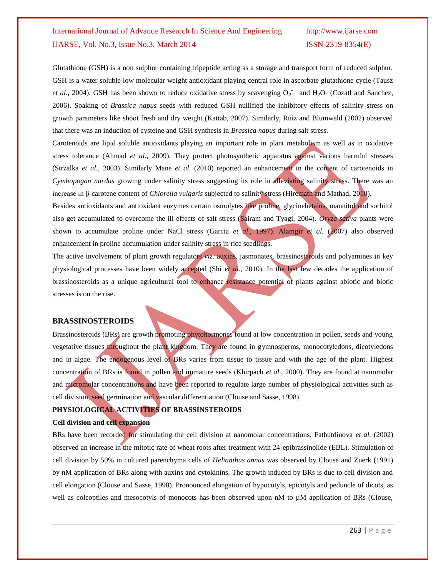Glutathione (GSH) is a non sulphur containing tripeptide acting as a storage and transport form of reduced sulphur. GSH is a water soluble low molecular weight antioxidant playing central role in ascorbate glutathione cycle (Tausz *et al.*, 2004). GSH has been shown to reduce oxidative stress by scavenging  $O_2^{\bullet -}$  and  $H_2O_2$  (Cozatl and Sanchez, 2006). Soaking of *Brassica napus* seeds with reduced GSH nullified the inhibitory effects of salinity stress on growth parameters like shoot fresh and dry weight (Kattab, 2007). Similarly, Ruiz and Blumwald (2002) observed that there was an induction of cysteine and GSH synthesis in *Brassica napus* during salt stress.

Carotenoids are lipid soluble antioxidants playing an important role in plant metabolism as well as in oxidative stress tolerance (Ahmad *et al*., 2009). They protect photosynthetic apparatus against various harmful stresses (Strzalka *et al.,* 2003). Similarly Mane *et al*. (2010) reported an enhancement in the content of carotenoids in *Cymbopogan nardus* growing under salinity stress suggesting its role in alleviating salinity stress. There was an increase in β-carotene content of *Chlorella vulgaris* subjected to salinity stress (Hiremath and Mathad, 2010).

Besides antioxidants and antioxidant enzymes certain osmolytes like proline, glycinebetains, mannitol and sorbitol also get accumulated to overcome the ill effects of salt stress (Sairam and Tyagi, 2004). *Oryza sativa* plants were shown to accumulate proline under NaCl stress (Garcia *et al*., 1997). Alamgir *et al.* (2007) also observed enhancement in proline accumulation under salinity stress in rice seedlings.

The active involvement of plant growth regulators *viz*. auxins, jasmonates, brassinosteroids and polyamines in key physiological processes have been widely accepted (Shi *et al*., 2010). In the last few decades the application of brassinosteroids as a unique agricultural tool to enhance resistance potential of plants against abiotic and biotic stresses is on the rise.

### **BRASSINOSTEROIDS**

Brassinosteroids (BRs) are growth promoting phytohormones found at low concentration in pollen, seeds and young vegetative tissues throughout the plant kingdom. They are found in gymnosperms, monocotyledons, dicotyledons and in algae. The endogenous level of BRs varies from tissue to tissue and with the age of the plant. Highest concentration of BRs is found in pollen and immature seeds (Khirpach *et al*., 2000). They are found at nanomolar and micromolar concentrations and have been reported to regulate large number of physiological activities such as cell division, seed germination and vascular differentiation (Clouse and Sasse, 1998).

### **PHYSIOLOGICAL ACTIVITIES OF BRASSINSTEROIDS**

### **Cell division and cell expansion**

BRs have been recorded for stimulating the cell division at nanomolar concentrations. Fathutdinova *et al.* (2002) observed an increase in the mitotic rate of wheat roots after treatment with 24-epibrassinolide (EBL). Stimulation of cell division by 50% in cultured parenchyma cells of *Helianthus annus* was observed by Clouse and Zuerk (1991) by nM application of BRs along with auxins and cytokinins. The growth induced by BRs is due to cell division and cell elongation (Clouse and Sasse, 1998). Pronounced elongation of hypocotyls, epicotyls and peduncle of dicots, as well as coleoptiles and mesocotyls of monocots has been observed upon nM to  $\mu$ M application of BRs (Clouse,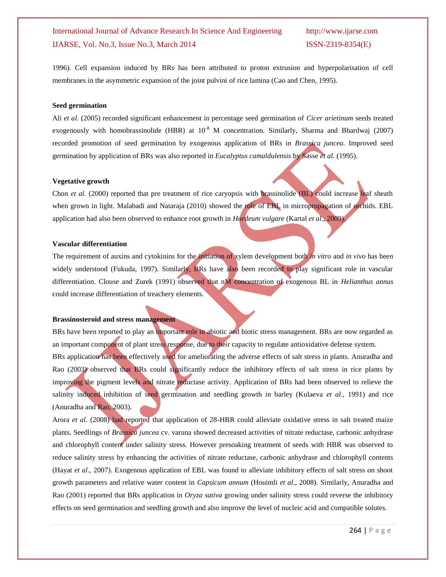1996). Cell expansion induced by BRs has been attributed to proton extrusion and hyperpolarisation of cell membranes in the asymmetric expansion of the joint pulvini of rice lamina (Cao and Chen, 1995).

#### **Seed germination**

Ali *et al*. (2005) recorded significant enhancement in percentage seed germination of *Cicer arietinum* seeds treated exogenously with homobrassinolide (HBR) at  $10^{-8}$  M concentration. Similarly, Sharma and Bhardwaj (2007) recorded promotion of seed germination by exogenous application of BRs in *Brassica juncea.* Improved seed germination by application of BRs was also reported in *Eucalyptus camaldulensis* by Sasse *et al.* (1995).

### **Vegetative growth**

Chon *et al.* (2000) reported that pre treatment of rice caryopsis with **brassinolide** (BL) could increase leaf sheath when grown in light. Malabadi and Nataraja (2010) showed the role of EBL in micropropagation of orchids. EBL application had also been observed to enhance root growth in *Hordeum vulgare* (Kartal *et al*., 2009).

### **Vascular differentiation**

The requirement of auxins and cytokinins for the initiation of xylem development both *in vitro* and *in vivo* has been widely understood (Fukuda, 1997). Similarly, BRs have also been recorded to play significant role in vascular differentiation. Clouse and Zurek (1991) observed that nM concentration of exogenous BL in *Helianthus annus*  could increase differentiation of treachery elements.

### **Brassinosteroid and stress management**

BRs have been reported to play an important role in abiotic and biotic stress management. BRs are now regarded as an important component of plant stress response, due to their capacity to regulate antioxidative defense system. BRs application has been effectively used for ameliorating the adverse effects of salt stress in plants. Anuradha and Rao (2003) observed that BRs could significantly reduce the inhibitory effects of salt stress in rice plants by improving the pigment levels and nitrate reductase activity. Application of BRs had been observed to relieve the salinity induced inhibition of seed germination and seedling growth in barley (Kulaeva *et al*., 1991) and rice (Anuradha and Rao, 2003).

Arora *et al*. (2008) had reported that application of 28-HBR could alleviate oxidative stress in salt treated maize plants. Seedlings of *Brassica juncea* cv. varuna showed decreased activities of nitrate reductase, carbonic anhydrase and chlorophyll content under salinity stress. However presoaking treatment of seeds with HBR was observed to reduce salinity stress by enhancing the activities of nitrate reductase, carbonic anhydrase and chlorophyll contents (Hayat *et al*., 2007). Exogenous application of EBL was found to alleviate inhibitory effects of salt stress on shoot growth parameters and relative water content in *Capsicum annum* (Houimli *et al*., 2008). Similarly, Anuradha and Rao (2001) reported that BRs application in *Oryza sativa* growing under salinity stress could reverse the inhibitory effects on seed germination and seedling growth and also improve the level of nucleic acid and compatible solutes.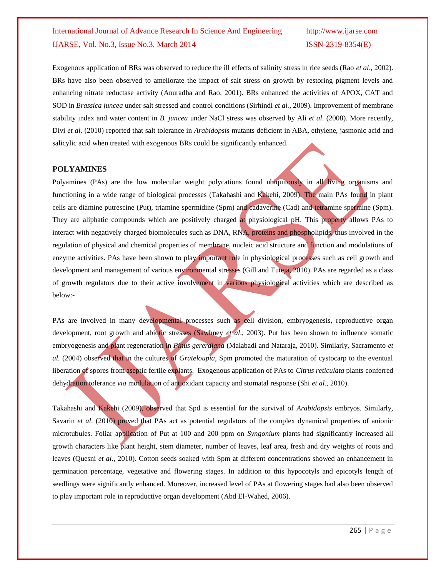Exogenous application of BRs was observed to reduce the ill effects of salinity stress in rice seeds (Rao *et al*., 2002). BRs have also been observed to ameliorate the impact of salt stress on growth by restoring pigment levels and enhancing nitrate reductase activity (Anuradha and Rao, 2001). BRs enhanced the activities of APOX, CAT and SOD in *Brassica juncea* under salt stressed and control conditions (Sirhindi *et al.,* 2009). Improvement of membrane stability index and water content in *B. juncea* under NaCl stress was observed by Ali *et al*. (2008). More recently, Divi *et al*. (2010) reported that salt tolerance in *Arabidopsis* mutants deficient in ABA, ethylene, jasmonic acid and salicylic acid when treated with exogenous BRs could be significantly enhanced.

### **POLYAMINES**

Polyamines (PAs) are the low molecular weight polycations found ubiquitously in all living organisms and functioning in a wide range of biological processes (Takahashi and Kakehi, 2009). The main PAs found in plant cells are diamine putrescine (Put), triamine spermidine (Spm) and cadaverine (Cad) and tetramine spermine (Spm). They are aliphatic compounds which are positively charged at physiological pH. This property allows PAs to interact with negatively charged biomolecules such as DNA, RNA, proteins and phospholipids, thus involved in the regulation of physical and chemical properties of membrane, nucleic acid structure and function and modulations of enzyme activities. PAs have been shown to play important role in physiological processes such as cell growth and development and management of various environmental stresses (Gill and Tuteja, 2010). PAs are regarded as a class of growth regulators due to their active involvement in various physiological activities which are described as below:-

PAs are involved in many developmental processes such as cell division, embryogenesis, reproductive organ development, root growth and abiotic stresses (Sawhney *et al*., 2003). Put has been shown to influence somatic embryogenesis and plant regeneration in *Pinus gererdiana* (Malabadi and Nataraja, 2010). Similarly, Sacramento *et al.* (2004) observed that in the cultures of *Grateloupia*, Spm promoted the maturation of cystocarp to the eventual liberation of spores from aseptic fertile explants. Exogenous application of PAs to *Citrus reticulata* plants conferred dehydration tolerance *via* modulation of antioxidant capacity and stomatal response (Shi *et al*., 2010).

Takahashi and Kakehi (2009), observed that Spd is essential for the survival of *Arabidopsis* embryos. Similarly, Savarin *et al.* (2010) proved that PAs act as potential regulators of the complex dynamical properties of anionic microtubules. Foliar application of Put at 100 and 200 ppm on *Syngonium* plants had significantly increased all growth characters like plant height, stem diameter, number of leaves, leaf area, fresh and dry weights of roots and leaves (Quesni *et al*., 2010). Cotton seeds soaked with Spm at different concentrations showed an enhancement in germination percentage, vegetative and flowering stages. In addition to this hypocotyls and epicotyls length of seedlings were significantly enhanced. Moreover, increased level of PAs at flowering stages had also been observed to play important role in reproductive organ development (Abd El-Wahed, 2006).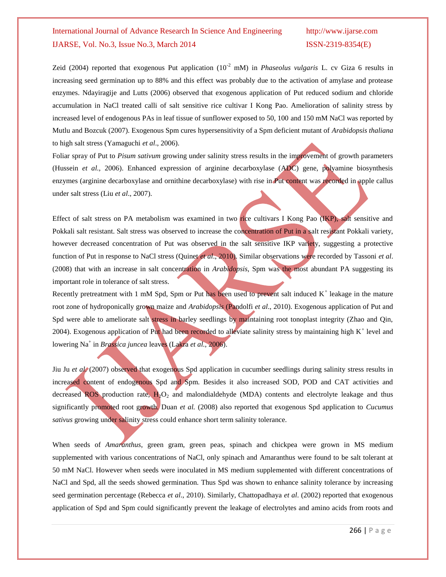Zeid (2004) reported that exogenous Put application (10<sup>-2</sup> mM) in *Phaseolus vulgaris* L. cv Giza 6 results in increasing seed germination up to 88% and this effect was probably due to the activation of amylase and protease enzymes. Ndayiragije and Lutts (2006) observed that exogenous application of Put reduced sodium and chloride accumulation in NaCl treated calli of salt sensitive rice cultivar I Kong Pao. Amelioration of salinity stress by increased level of endogenous PAs in leaf tissue of sunflower exposed to 50, 100 and 150 mM NaCl was reported by Mutlu and Bozcuk (2007). Exogenous Spm cures hypersensitivity of a Spm deficient mutant of *Arabidopsis thaliana* to high salt stress (Yamaguchi *et al*., 2006).

Foliar spray of Put to *Pisum sativum* growing under salinity stress results in the improvement of growth parameters (Hussein *et al.,* 2006). Enhanced expression of arginine decarboxylase (ADC) gene, polyamine biosynthesis enzymes (arginine decarboxylase and ornithine decarboxylase) with rise in Put content was recorded in apple callus under salt stress (Liu *et al*., 2007).

Effect of salt stress on PA metabolism was examined in two rice cultivars I Kong Pao (IKP), salt sensitive and Pokkali salt resistant. Salt stress was observed to increase the concentration of Put in a salt resistant Pokkali variety, however decreased concentration of Put was observed in the salt sensitive IKP variety, suggesting a protective function of Put in response to NaCl stress (Quinet *et al*., 2010). Similar observations were recorded by Tassoni *et al*. (2008) that with an increase in salt concentration in *Arabidopsis*, Spm was the most abundant PA suggesting its important role in tolerance of salt stress.

Recently pretreatment with 1 mM Spd, Spm or Put has been used to prevent salt induced K<sup>+</sup> leakage in the mature root zone of hydroponically grown maize and *Arabidopsis* (Pandolfi *et al*., 2010). Exogenous application of Put and Spd were able to ameliorate salt stress in barley seedlings by maintaining root tonoplast integrity (Zhao and Qin, 2004). Exogenous application of Put had been recorded to alleviate salinity stress by maintaining high K<sup>+</sup> level and lowering Na<sup>+</sup> in *Brassica juncea* leaves (Lakra *et al.,* 2006).

Jiu Ju *et al*. (2007) observed that exogenous Spd application in cucumber seedlings during salinity stress results in increased content of endogenous Spd and Spm. Besides it also increased SOD, POD and CAT activities and decreased ROS production rate,  $H_2O_2$  and malondialdehyde (MDA) contents and electrolyte leakage and thus significantly promoted root growth. Duan *et al.* (2008) also reported that exogenous Spd application to *Cucumus sativus* growing under salinity stress could enhance short term salinity tolerance.

When seeds of *Amaranthus*, green gram, green peas, spinach and chickpea were grown in MS medium supplemented with various concentrations of NaCl, only spinach and Amaranthus were found to be salt tolerant at 50 mM NaCl. However when seeds were inoculated in MS medium supplemented with different concentrations of NaCl and Spd, all the seeds showed germination. Thus Spd was shown to enhance salinity tolerance by increasing seed germination percentage (Rebecca *et al*., 2010). Similarly, Chattopadhaya *et al*. (2002) reported that exogenous application of Spd and Spm could significantly prevent the leakage of electrolytes and amino acids from roots and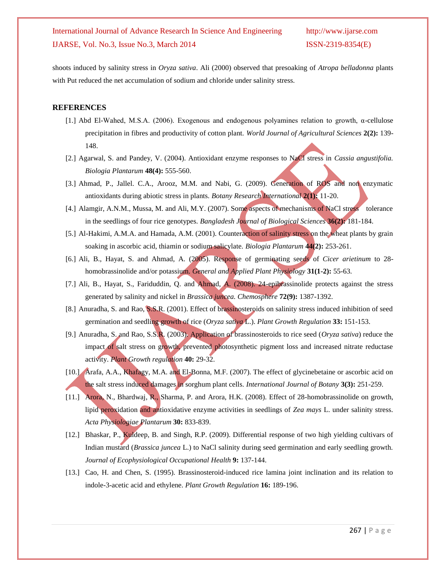shoots induced by salinity stress in *Oryza sativa*. Ali (2000) observed that presoaking of *Atropa belladonna* plants with Put reduced the net accumulation of sodium and chloride under salinity stress.

### **REFERENCES**

- [1.] Abd El-Wahed, M.S.A. (2006). Exogenous and endogenous polyamines relation to growth, α-cellulose precipitation in fibres and productivity of cotton plant. *World Journal of Agricultural Sciences* **2(2):** 139- 148.
- [2.] Agarwal, S. and Pandey, V. (2004). Antioxidant enzyme responses to NaCl stress in *Cassia angustifolia. Biologia Plantarum* **48(4):** 555-560.
- [3.] Ahmad, P., Jallel. C.A., Arooz, M.M. and Nabi, G. (2009). Generation of ROS and non enzymatic antioxidants during abiotic stress in plants. *Botany Research International* **2(1):** 11-20.
- [4.] Alamgir, A.N.M., Mussa, M. and Ali, M.Y. (2007). Some aspects of mechanisms of NaCl stress tolerance in the seedlings of four rice genotypes. *Bangladesh Journal of Biological Sciences* **36(2):** 181-184.
- [5.] Al-Hakimi, A.M.A. and Hamada, A.M. (2001). Counteraction of salinity stress on the wheat plants by grain soaking in ascorbic acid, thiamin or sodium salicylate. *Biologia Plantarum* **44(2):** 253-261.
- [6.] Ali, B., Hayat, S. and Ahmad, A. (2005). Response of germinating seeds of *Cicer arietinum* to 28 homobrassinolide and/or potassium. *General and Applied Plant Physiology* **31(1-2):** 55-63.
- [7.] Ali, B., Hayat, S., Fariduddin, Q. and Ahmad, A. (2008). 24-epibrassinolide protects against the stress generated by salinity and nickel in *Brassica juncea. Chemosphere* **72(9):** 1387-1392.
- [8.] Anuradha, S. and Rao, S.S.R. (2001). Effect of brassinosteroids on salinity stress induced inhibition of seed germination and seedling growth of rice (*Oryza sativa* L.). *Plant Growth Regulation* **33:** 151-153.
- [9.] Anuradha, S. and Rao, S.S.R. (2003). Application of brassinosteroids to rice seed (*Oryza sativa*) reduce the impact of salt stress on growth, prevented photosynthetic pigment loss and increased nitrate reductase activity. *Plant Growth regulation* **40:** 29-32.
- [10.] Arafa, A.A., Khafagy, M.A. and El-Bonna, M.F. (2007). The effect of glycinebetaine or ascorbic acid on the salt stress induced damages in sorghum plant cells. *International Journal of Botany* **3(3):** 251-259.
- [11.] Arora, N., Bhardwaj, R., Sharma, P. and Arora, H.K. (2008). Effect of 28-homobrassinolide on growth, lipid peroxidation and antioxidative enzyme activities in seedlings of *Zea mays* L. under salinity stress. *Acta Physiologiae Plantarum* **30:** 833-839.
- [12.] Bhaskar, P., Kuldeep, B. and Singh, R.P. (2009). Differential response of two high yielding cultivars of Indian mustard (*Brassica juncea* L.) to NaCl salinity during seed germination and early seedling growth. *Journal of Ecophysiological Occupational Health* **9:** 137-144.
- [13.] Cao, H. and Chen, S. (1995). Brassinosteroid-induced rice lamina joint inclination and its relation to indole-3-acetic acid and ethylene. *Plant Growth Regulation* **16:** 189-196.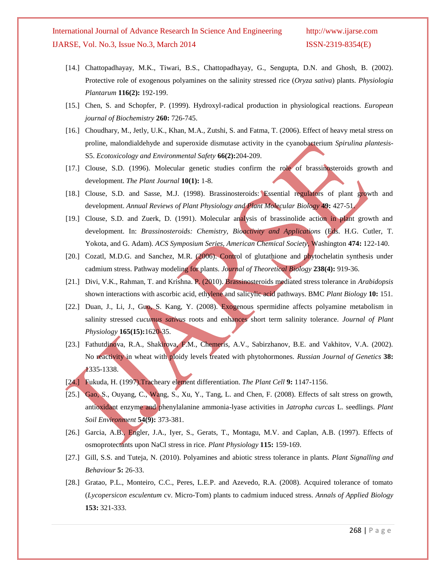- [14.] Chattopadhayay, M.K., Tiwari, B.S., Chattopadhayay, G., Sengupta, D.N. and Ghosh, B. (2002). Protective role of exogenous polyamines on the salinity stressed rice (*Oryza sativa*) plants. *Physiologia Plantarum* **116(2):** 192-199.
- [15.] Chen, S. and Schopfer, P. (1999). Hydroxyl-radical production in physiological reactions. *European journal of Biochemistry* **260:** 726-745.
- [16.] Choudhary, M., Jetly, U.K., Khan, M.A., Zutshi, S. and Fatma, T. (2006). Effect of heavy metal stress on proline, malondialdehyde and superoxide dismutase activity in the cyanobacterium *Spirulina plantesis*-S5. *Ecotoxicology and Environmental Safety* **66(2):**204-209.
- [17.] Clouse, S.D. (1996). Molecular genetic studies confirm the role of brassinosteroids growth and development. *The Plant Journal* **10(1):** 1-8.
- [18.] Clouse, S.D. and Sasse, M.J. (1998). Brassinosteroids: Essential regulators of plant growth and development. *Annual Reviews of Plant Physiology and Plant Molecular Biology* **49:** 427-51.
- [19.] Clouse, S.D. and Zuerk, D. (1991). Molecular analysis of brassinolide action in plant growth and development. In: *Brassinosteroids: Chemistry, Bioactivity and Applications* (Eds. H.G. Cutler, T. Yokota, and G. Adam). *ACS Symposium Series, American Chemical Society*, Washington **474:** 122-140.
- [20.] Cozatl, M.D.G. and Sanchez, M.R. (2006). Control of glutathione and phytochelatin synthesis under cadmium stress. Pathway modeling for plants. *Journal of Theoretical Biology* **238(4):** 919-36.
- [21.] Divi, V.K., Rahman, T. and Krishna. P. (2010). Brassinosteroids mediated stress tolerance in *Arabidopsis* shown interactions with ascorbic acid, ethylene and salicylic acid pathways. BMC *Plant Biology* **10:** 151.
- [22.] Duan, J., Li, J., Guo, S. Kang, Y. (2008). Exogenous spermidine affects polyamine metabolism in salinity stressed *cucumus sativus* roots and enhances short term salinity tolerance. *Journal of Plant Physiology* **165(15):**1620-35.
- [23.] Fathutdinova, R.A., Shakirova, F.M., Chemeris, A.V., Sabirzhanov, B.E. and Vakhitov, V.A. (2002). No reactivity in wheat with ploidy levels treated with phytohormones. *Russian Journal of Genetics* **38:** 1335-1338.
- [24.] Fukuda, H. (1997).Tracheary element differentiation. *The Plant Cell* **9:** 1147-1156.
- [25.] Gao, S., Ouyang, C., Wang, S., Xu, Y., Tang, L. and Chen, F. (2008). Effects of salt stress on growth, antioxidant enzyme and phenylalanine ammonia-lyase activities in *Jatropha curcas* L. seedlings. *Plant Soil Environment* **54(9):** 373-381.
- [26.] Garcia, A.B., Engler, J.A., Iyer, S., Gerats, T., Montagu, M.V. and Caplan, A.B. (1997). Effects of osmoprotectants upon NaCl stress in rice. *Plant Physiology* **115:** 159-169.
- [27.] Gill, S.S. and Tuteja, N. (2010). Polyamines and abiotic stress tolerance in plants*. Plant Signalling and Behaviour* **5:** 26-33.
- [28.] Gratao, P.L., Monteiro, C.C., Peres, L.E.P. and Azevedo, R.A. (2008). Acquired tolerance of tomato (*Lycopersicon esculentum* cv. Micro-Tom) plants to cadmium induced stress. *Annals of Applied Biology* **153:** 321-333.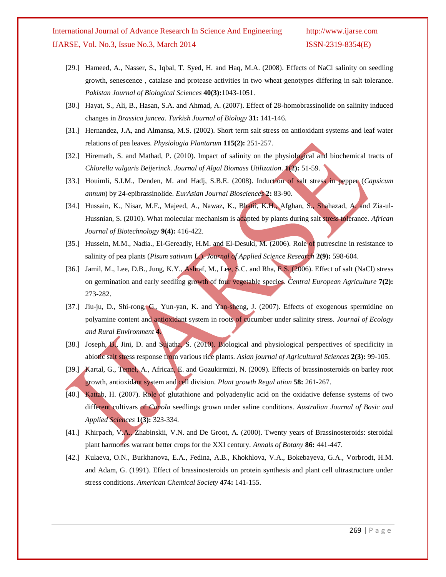- [29.] Hameed, A., Nasser, S., Iqbal, T. Syed, H. and Haq, M.A. (2008). Effects of NaCl salinity on seedling growth, senescence , catalase and protease activities in two wheat genotypes differing in salt tolerance. *Pakistan Journal of Biological Sciences* **40(3):**1043-1051.
- [30.] Hayat, S., Ali, B., Hasan, S.A. and Ahmad, A. (2007). Effect of 28-homobrassinolide on salinity induced changes in *Brassica juncea. Turkish Journal of Biology* **31:** 141-146.
- [31.] Hernandez, J.A, and Almansa, M.S. (2002). Short term salt stress on antioxidant systems and leaf water relations of pea leaves. *Physiologia Plantarum* **115(2):** 251-257.
- [32.] Hiremath, S. and Mathad, P. (2010). Impact of salinity on the physiological and biochemical tracts of *Chlorella vulgaris Beijerinck. Journal of Algal Biomass Utilization*. **1(2):** 51-59.
- [33.] Houimli, S.I.M., Denden, M. and Hadj, S.B.E. (2008). Induction of salt stress in pepper (*Capsicum annum*) by 24-epibrassinolide. *EurAsian Journal Biosciences* **2:** 83-90.
- [34.] Hussain, K., Nisar, M.F., Majeed, A., Nawaz, K., Bhatii, K.H., Afghan, S., Shahazad, A. and Zia-ul-Hussnian, S. (2010). What molecular mechanism is adapted by plants during salt stress tolerance. *African Journal of Biotechnology* **9(4):** 416-422.
- [35.] Hussein, M.M., Nadia., El-Gereadly, H.M. and El-Desuki, M. (2006). Role of putrescine in resistance to salinity of pea plants (*Pisum sativum* L.). *Journal of Applied Science Research* **2(9):** 598-604.
- [36.] Jamil, M., Lee, D.B., Jung, K.Y., Ashraf, M., Lee, S.C. and Rha, E.S. (2006). Effect of salt (NaCl) stress on germination and early seedling growth of four vegetable species. *Central European Agriculture* **7(2):** 273-282.
- [37.] Jiu-ju, D., Shi-rong, G., Yun-yan, K. and Yan-sheng, J. (2007). Effects of exogenous spermidine on polyamine content and antioxidant system in roots of cucumber under salinity stress. *Journal of Ecology and Rural Environment* **4**.
- [38.] Joseph, B., Jini, D. and Sujatha, S. (2010). Biological and physiological perspectives of specificity in abiotic salt stress response from various rice plants. *Asian journal of Agricultural Sciences* **2(3):** 99-105.
- [39.] Kartal, G., Temel, A., African, E. and Gozukirmizi, N. (2009). Effects of brassinosteroids on barley root growth, antioxidant system and cell division. *Plant growth Regul ation* **58:** 261-267.
- [40.] Kattab, H. (2007). Role of glutathione and polyadenylic acid on the oxidative defense systems of two different cultivars of *Canola* seedlings grown under saline conditions. *Australian Journal of Basic and Applied Sciences* **1(3):** 323-334.
- [41.] Khirpach, V.A., Zhabinskii, V.N. and De Groot, A. (2000). Twenty years of Brassinosteroids: steroidal plant harmones warrant better crops for the XXI century. *Annals of Botany* **86:** 441-447.
- [42.] Kulaeva, O.N., Burkhanova, E.A., Fedina, A.B., Khokhlova, V.A., Bokebayeva, G.A., Vorbrodt, H.M. and Adam, G. (1991). Effect of brassinosteroids on protein synthesis and plant cell ultrastructure under stress conditions. *American Chemical Society* **474:** 141-155.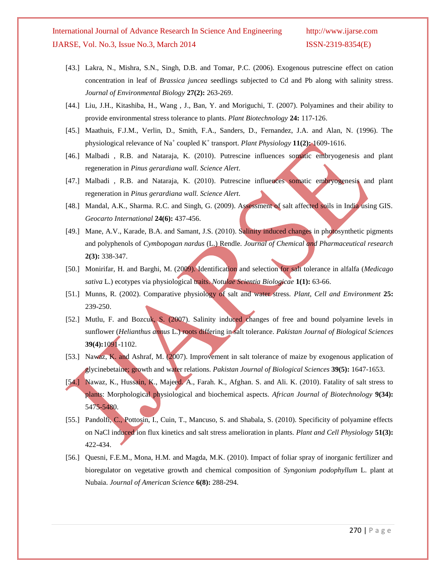- [43.] Lakra, N., Mishra, S.N., Singh, D.B. and Tomar, P.C. (2006). Exogenous putrescine effect on cation concentration in leaf of *Brassica juncea* seedlings subjected to Cd and Pb along with salinity stress. *Journal of Environmental Biology* **27(2):** 263-269.
- [44.] Liu, J.H., Kitashiba, H., Wang , J., Ban, Y. and Moriguchi, T. (2007). Polyamines and their ability to provide environmental stress tolerance to plants. *Plant Biotechnology* **24:** 117-126.
- [45.] Maathuis, F.J.M., Verlin, D., Smith, F.A., Sanders, D., Fernandez, J.A. and Alan, N. (1996). The physiological relevance of Na<sup>+</sup> coupled K<sup>+</sup> transport. *Plant Physiology* 11(2): 1609-1616.
- [46.] Malbadi , R.B. and Nataraja, K. (2010). Putrescine influences somatic embryogenesis and plant regeneration in *Pinus gerardiana wall. Science Alert.*
- [47.] Malbadi , R.B. and Nataraja, K. (2010). Putrescine influences somatic embryogenesis and plant regeneration in *Pinus gerardiana wall. Science Alert.*
- [48.] Mandal, A.K., Sharma. R.C. and Singh, G. (2009). Assessment of salt affected soils in India using GIS. *Geocarto International* **24(6):** 437-456.
- [49.] Mane, A.V., Karade, B.A. and Samant, J.S. (2010). Salinity induced changes in photosynthetic pigments and polyphenols of *Cymbopogan nardus* (L.) Rendle. *Journal of Chemical and Pharmaceutical research*  **2(3):** 338-347.
- [50.] Monirifar, H. and Barghi, M. (2009). Identification and selection for salt tolerance in alfalfa (*Medicago sativa* L.) ecotypes via physiological traits. *Notulae Scientia Biologicae* **1(1):** 63-66.
- [51.] Munns, R. (2002). Comparative physiology of salt and water stress. *Plant, Cell and Environment* **25:** 239-250.
- [52.] Mutlu, F. and Bozcuk, S. (2007). Salinity induced changes of free and bound polyamine levels in sunflower (*Helianthus annus* L.) roots differing in salt tolerance. *Pakistan Journal of Biological Sciences* **39(4):**1091-1102.
- [53.] Nawaz, K. and Ashraf, M. (2007). Improvement in salt tolerance of maize by exogenous application of glycinebetaine; growth and water relations. *Pakistan Journal of Biological Sciences* **39(5):** 1647-1653.
- [54.] Nawaz, K., Hussain, K., Majeed. A., Farah. K., Afghan. S. and Ali. K. (2010). Fatality of salt stress to plants: Morphological physiological and biochemical aspects. *African Journal of Biotechnology* **9(34):** 5475-5480.
- [55.] Pandolfi, C., Pottosin, I., Cuin, T., Mancuso, S. and Shabala, S. (2010). Specificity of polyamine effects on NaCl induced ion flux kinetics and salt stress amelioration in plants. *Plant and Cell Physiology* **51(3):** 422-434.
- [56.] Quesni, F.E.M., Mona, H.M. and Magda, M.K. (2010). Impact of foliar spray of inorganic fertilizer and bioregulator on vegetative growth and chemical composition of *Syngonium podophyllum* L. plant at Nubaia. *Journal of American Science* **6(8):** 288-294.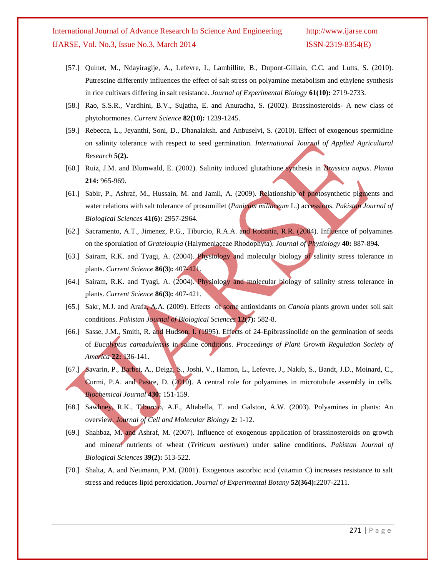- [57.] Quinet, M., Ndayiragije, A., Lefevre, I., Lambillite, B., Dupont-Gillain, C.C. and Lutts, S. (2010). Putrescine differently influences the effect of salt stress on polyamine metabolism and ethylene synthesis in rice cultivars differing in salt resistance. *Journal of Experimental Biology* **61(10):** 2719-2733.
- [58.] Rao, S.S.R., Vardhini, B.V., Sujatha, E. and Anuradha, S. (2002). Brassinosteroids- A new class of phytohormones. *Current Science* **82(10):** 1239-1245.
- [59.] Rebecca, L., Jeyanthi, Soni, D., Dhanalaksh. and Anbuselvi, S. (2010). Effect of exogenous spermidine on salinity tolerance with respect to seed germination. *International Journal of Applied Agricultural Research* **5(2).**
- [60.] Ruiz, J.M. and Blumwald, E. (2002). Salinity induced glutathione synthesis in *Brassica napus*. *Planta* **214:** 965-969.
- [61.] Sabir, P., Ashraf, M., Hussain, M. and Jamil, A. (2009). Relationship of photosynthetic pigments and water relations with salt tolerance of prosomillet (*Panicum miliaceum* L.) accessions. *Pakistan Journal of Biological Sciences* **41(6):** 2957-2964.
- [62.] Sacramento, A.T., Jimenez, P.G., Tiburcio, R.A.A. and Robania, R.R. (2004). Influence of polyamines on the sporulation of *Grateloupia* (Halymeniaceae Rhodophyta). *Journal of Physiology* **40:** 887-894.
- [63.] Sairam, R.K. and Tyagi, A. (2004). Physiology and molecular biology of salinity stress tolerance in plants. *Current Science* **86(3):** 407-421.
- [64.] Sairam, R.K. and Tyagi, A. (2004). Physiology and molecular biology of salinity stress tolerance in plants. *Current Science* **86(3):** 407-421.
- [65.] Sakr, M.J. and Arafa, A.A. (2009). Effects of some antioxidants on *Canola* plants grown under soil salt conditions. *Pakistan Journal of Biological Sciences* **12(7):** 582-8.
- [66.] Sasse, J.M., Smith, R. and Hudson, I. (1995). Effects of 24-Epibrassinolide on the germination of seeds of *Eucalyptus camadulensis* in saline conditions. *Proceedings of Plant Growth Regulation Society of America* **22:** 136-141.
- [67.] Savarin, P., Barbet, A., Deiga, S., Joshi, V., Hamon, L., Lefevre, J., Nakib, S., Bandt, J.D., Moinard, C., Curmi, P.A. and Pastre, D. (2010). A central role for polyamines in microtubule assembly in cells. *Biochemical Journal* **430:** 151-159.
- [68.] Sawhney, R.K., Tiburcio, A.F., Altabella, T. and Galston, A.W. (2003). Polyamines in plants: An overview. *Journal of Cell and Molecular Biology* **2:** 1-12.
- [69.] Shahbaz, M. and Ashraf, M. (2007). Influence of exogenous application of brassinosteroids on growth and mineral nutrients of wheat (*Triticum aestivum*) under saline conditions. *Pakistan Journal of Biological Sciences* **39(2):** 513-522.
- [70.] Shalta, A. and Neumann, P.M. (2001). Exogenous ascorbic acid (vitamin C) increases resistance to salt stress and reduces lipid peroxidation. *Journal of Experimental Botany* **52(364):**2207-2211.